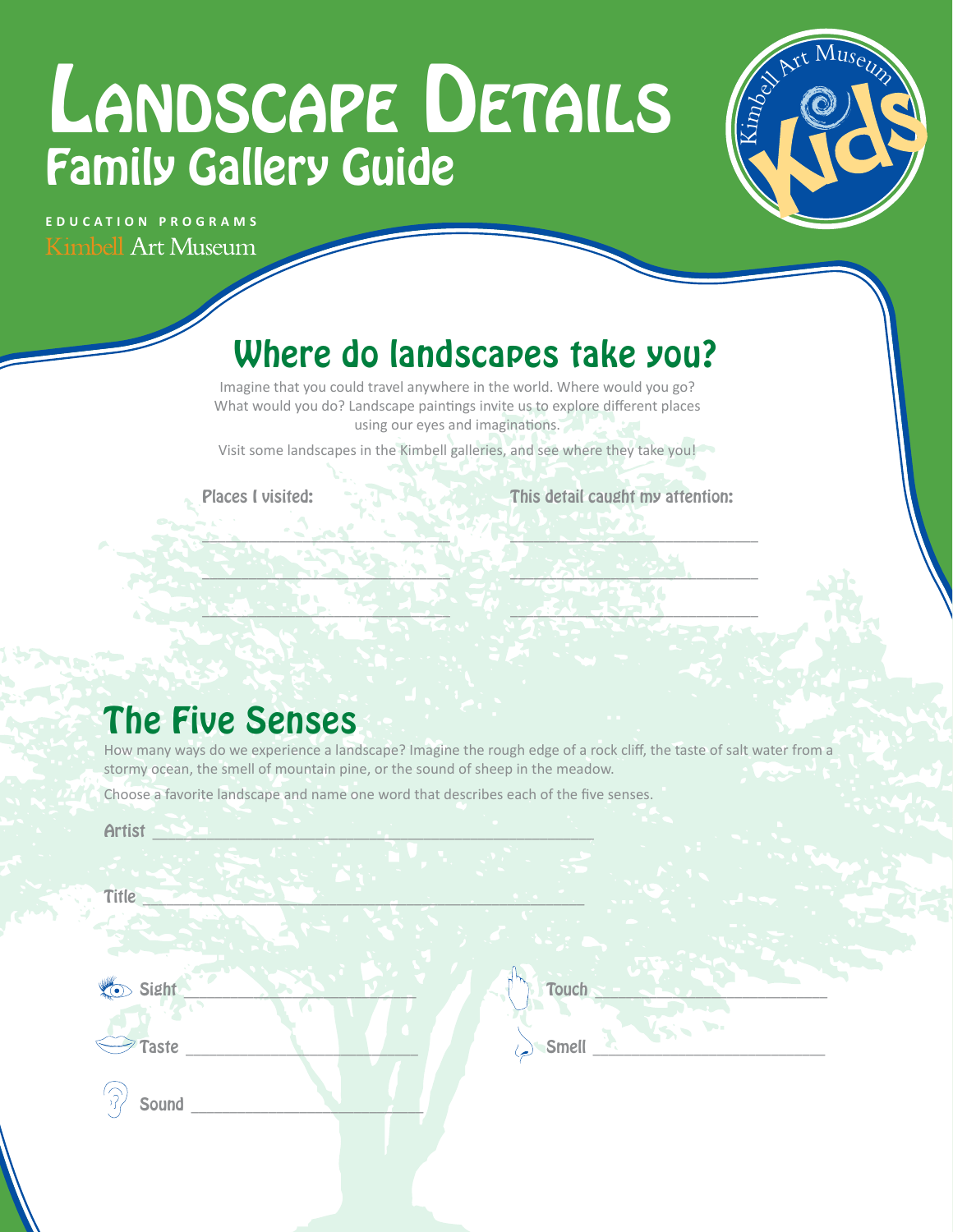# LANDSCAPE DETAILS Family Gallery Guide



**EDUCATION PROGRAMS Kimbell Art Museum** 

# Where do landscapes take you?

Imagine that you could travel anywhere in the world. Where would you go? What would you do? Landscape paintings invite us to explore different places using our eyes and imaginations.

Visit some landscapes in the Kimbell galleries, and see where they take you!

Places I visited:

 $\mathcal{L} = \mathcal{L} - \mathcal{L} = \mathcal{L} - \mathcal{L} = \mathcal{L} - \mathcal{L}$ 

 $\sim$   $\sim$   $\sim$   $\sim$   $\sim$   $\sim$   $\sim$   $\sim$ 

 $\mathbf{L}_{\mathbf{L}}$  , we have the set of  $\mathbf{L}_{\mathbf{L}}$ 

This detail caught my attention:

 $\mathbf{a}$  ,  $\mathbf{a}$  ,  $\mathbf{a}$  ,  $\mathbf{a}$  ,  $\mathbf{a}$  ,  $\mathbf{a}$  ,  $\mathbf{a}$  ,  $\mathbf{a}$ 

 $\mathbb{Z}$  .  $\mathbb{Z}$  .  $\mathbb{Z}$  .  $\mathbb{Z}$ 

\_\_\_\_\_\_\_\_\_\_\_\_\_\_\_\_\_\_\_\_\_\_\_\_\_\_\_\_\_\_\_\_

## The Five Senses

How many ways do we experience a landscape? Imagine the rough edge of a rock clif, the taste of salt water from a stormy ocean, the smell of mountain pine, or the sound of sheep in the meadow.

Choose a favorite landscape and name one word that describes each of the fve senses.

Artist  $\bigcap_{i=1}^n A_i$  , we have the set of  $A_i$  and  $A_i$  and  $A_i$  and  $A_i$  and  $A_i$ 

| Title         |       |
|---------------|-------|
| Sight         | Touch |
| Taste         | Ъ.    |
| $\mathcal{L}$ | Smell |
| Sound         | كيز   |